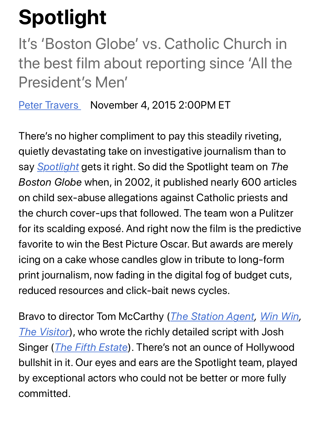## **Spotlight**

It's 'Boston Globe' vs. Catholic Church in the best film about reporting since 'All the [President](https://www.rollingstone.com/author/peter-travers/)'s Men'

Peter Travers November 4, 2015 2:00PM ET

There's no higher compliment to pay this steadily riveting, qui[etly devas](https://www.rollingstone.com/t/spotlight/)tating take on investigative journalism than to say *Spotlight* gets it right. So did the Spotlight team on *The Boston Globe* when, in 2002, it published nearly 600 articles on child sex-abuse allegations against Catholic priests and the church cover-ups that followed. The team won a Pulitzer for its scalding exposé. And right now the film is the predictive favorite to win the Best Picture Oscar. But awards are merely icing on a cake whose candles glow in tribute to long-form print journalism, now fading in the digital fog of budget cuts, reduced resources and click-bait [news cycles.](https://www.rollingstone.com/movies/movie-reviews/the-station-agent-251784/)

[Bravo to dir](https://www.rollingstone.com/movies/movie-reviews/the-visitor-250789/)ector Tom McCarthy (*The Station Agent, Win Win, The Visitor*[\), who wrote t](https://www.rollingstone.com/movies/movie-reviews/the-fifth-estate-112543/)he richly detailed script with Josh Singer (*The Fifth Estate*). There's not an ounce of Hollywood bullshit in it. Our eyes and ears are the Spotlight team, played by exceptional actors who could not be better or more fully committed.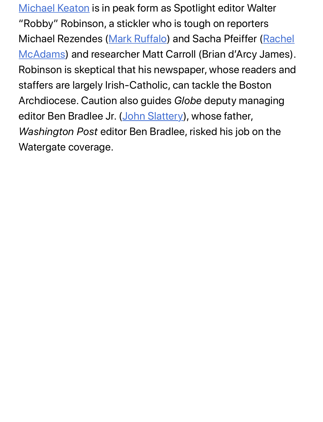Michael Keaton is in peak form as Spotlight editor Walter "Robby" Robinson, [a stickler who](https://www.rollingstone.com/t/mark-ruffalo/) is tough on reporters [Michael Rezendes \(Mark Ruffalo\) and Sacha Pfeiffer \(Rachel](https://www.rollingstone.com/t/rachel-mcadams/) McAdams) and researcher Matt Carroll (Brian d'Arcy James). Robinson is skeptical that his newspaper, whose readers and staffers are largely Irish-Catholic, can tackle the Boston Archdiocese. Caution [also guides](https://www.rollingstone.com/t/john-slattery/) *Globe* deputy managing editor Ben Bradlee Jr. (John Slattery), whose father, *Washington Post* editor Ben Bradlee, risked his job on the Watergate coverage.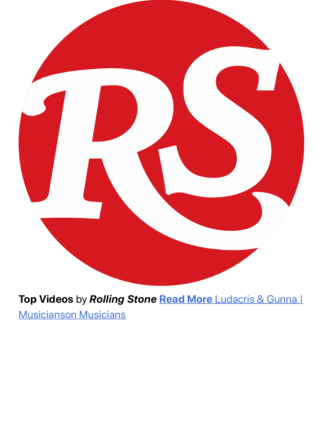

**Top Videos** by *Rolling Stone* **Read More** [Ludacris & Gunna |](http://video.rollingstone.com/previews/bmimMb0E?traffic_source=Connatix) Musicianson Musicians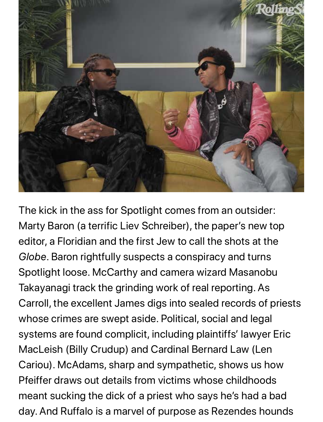

The kick in the ass for Spotlight comes from an outsider: Marty Baron (a terrific Liev Schreiber), the paper's new top editor, a Floridian and the first Jew to call the shots at the *Globe*. Baron rightfully suspects a conspiracy and turns Spotlight loose. McCarthy and camera wizard Masanobu Takayanagi track the grinding work of real reporting. As Carroll, the excellent James digs into sealed records of priests whose crimes are swept aside. Political, social and legal systems are found complicit, including plaintiffs' lawyer Eric MacLeish (Billy Crudup) and Cardinal Bernard Law (Len Cariou). McAdams, sharp and sympathetic, shows us how Pfeiffer draws out details from victims whose childhoods meant sucking the dick of a priest who says he's had a bad day. And Ruffalo is a marvel of purpose as Rezendes hounds